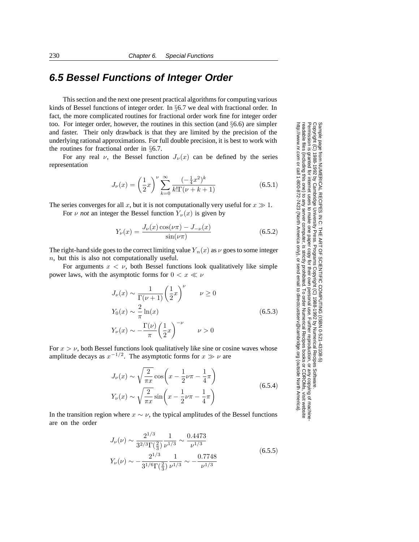## **6.5 Bessel Functions of Integer Order**

This section and the next one present practical algorithms for computing various kinds of Bessel functions of integer order. In §6.7 we deal with fractional order. In fact, the more complicated routines for fractional order work fine for integer order too. For integer order, however, the routines in this section (and §6.6) are simpler and faster. Their only drawback is that they are limited by the precision of the underlying rational approximations. For full double precision, it is best to work with the routines for fractional order in §6.7.

For any real  $\nu$ , the Bessel function  $J_{\nu}(x)$  can be defined by the series representation

$$
J_{\nu}(x) = \left(\frac{1}{2}x\right)^{\nu} \sum_{k=0}^{\infty} \frac{(-\frac{1}{4}x^2)^k}{k!\Gamma(\nu+k+1)}
$$
(6.5.1)

The series converges for all x, but it is not computationally very useful for  $x \gg 1$ .

For  $\nu$  *not* an integer the Bessel function  $Y_{\nu}(x)$  is given by

$$
Y_{\nu}(x) = \frac{J_{\nu}(x)\cos(\nu\pi) - J_{-\nu}(x)}{\sin(\nu\pi)}\tag{6.5.2}
$$

The right-hand side goes to the correct limiting value  $Y_n(x)$  as  $\nu$  goes to some integer n, but this is also not computationally useful.

For arguments  $x < v$ , both Bessel functions look qualitatively like simple power laws, with the asymptotic forms for  $0 < x \ll \nu$ 

$$
J_{\nu}(x) \sim \frac{1}{\Gamma(\nu+1)} \left(\frac{1}{2}x\right)^{\nu} \qquad \nu \ge 0
$$
  

$$
Y_0(x) \sim \frac{2}{\pi} \ln(x)
$$
  

$$
Y_{\nu}(x) \sim -\frac{\Gamma(\nu)}{\pi} \left(\frac{1}{2}x\right)^{-\nu} \qquad \nu > 0
$$
 (6.5.3)

For  $x > \nu$ , both Bessel functions look qualitatively like sine or cosine waves whose amplitude decays as  $x^{-1/2}$ . The asymptotic forms for  $x \gg \nu$  are

$$
J_{\nu}(x) \sim \sqrt{\frac{2}{\pi x}} \cos\left(x - \frac{1}{2}\nu\pi - \frac{1}{4}\pi\right)
$$
  

$$
Y_{\nu}(x) \sim \sqrt{\frac{2}{\pi x}} \sin\left(x - \frac{1}{2}\nu\pi - \frac{1}{4}\pi\right)
$$
 (6.5.4)

In the transition region where  $x \sim \nu$ , the typical amplitudes of the Bessel functions are on the order

$$
J_{\nu}(\nu) \sim \frac{2^{1/3}}{3^{2/3} \Gamma(\frac{2}{3})} \frac{1}{\nu^{1/3}} \sim \frac{0.4473}{\nu^{1/3}}
$$
  

$$
Y_{\nu}(\nu) \sim -\frac{2^{1/3}}{3^{1/6} \Gamma(\frac{2}{3})} \frac{1}{\nu^{1/3}} \sim -\frac{0.7748}{\nu^{1/3}}
$$
 (6.5.5)

Copyright (C) 1988-1992 by Cambridge University Press.Sample page from NUMERICAL RECIPES IN C: THE ART OF SCIENTIFIC COMPUTING (ISBN 0-521-43108-5) http://www.nr.com or call 1-800-872-7423 (North America only),readable files (including this one) to any serverPermission is granted for internet users to make one paper copy for their own personal use. Further reproduction, or any copyin computer, is strictly prohibited. To order Numerical Recipes booksPrograms Copyright (C) 1988-1992 by Numerical Recipes Software. or send email to directcustserv@cambridge.org (outside North America). or CDROMs, visit website g of machine-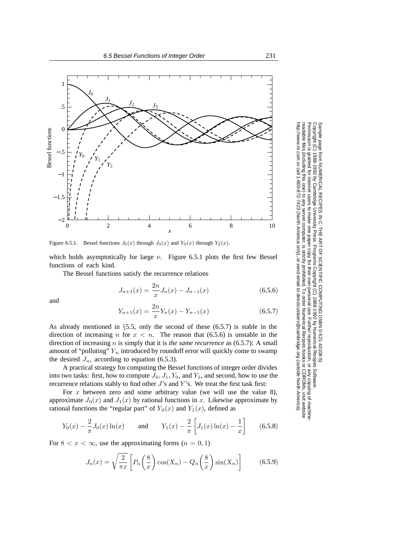

Figure 6.5.1. Bessel functions  $J_0(x)$  through  $J_3(x)$  and  $Y_0(x)$  through  $Y_2(x)$ .

which holds asymptotically for large  $\nu$ . Figure 6.5.1 plots the first few Bessel functions of each kind.

The Bessel functions satisfy the recurrence relations

$$
J_{n+1}(x) = \frac{2n}{x} J_n(x) - J_{n-1}(x)
$$
\n(6.5.6)

and

$$
Y_{n+1}(x) = \frac{2n}{x} Y_n(x) - Y_{n-1}(x)
$$
\n(6.5.7)

As already mentioned in  $\S5.5$ , only the second of these (6.5.7) is stable in the direction of increasing n for  $x < n$ . The reason that (6.5.6) is unstable in the direction of increasing n is simply that it is *the same recurrence* as (6.5.7): A small amount of "polluting"  $Y_n$  introduced by roundoff error will quickly come to swamp the desired  $J_n$ , according to equation (6.5.3).

A practical strategy for computing the Bessel functions of integer order divides into two tasks: first, how to compute  $J_0$ ,  $J_1$ ,  $Y_0$ , and  $Y_1$ , and second, how to use the recurrence relations stably to find other  $J$ 's and  $Y$ 's. We treat the first task first:

For  $x$  between zero and some arbitrary value (we will use the value 8), approximate  $J_0(x)$  and  $J_1(x)$  by rational functions in x. Likewise approximate by rational functions the "regular part" of  $Y_0(x)$  and  $Y_1(x)$ , defined as

$$
Y_0(x) - \frac{2}{\pi} J_0(x) \ln(x)
$$
 and  $Y_1(x) - \frac{2}{\pi} \left[ J_1(x) \ln(x) - \frac{1}{x} \right]$  (6.5.8)

For  $8 < x < \infty$ , use the approximating forms  $(n = 0, 1)$ 

$$
J_n(x) = \sqrt{\frac{2}{\pi x}} \left[ P_n\left(\frac{8}{x}\right) \cos(X_n) - Q_n\left(\frac{8}{x}\right) \sin(X_n) \right] \tag{6.5.9}
$$

Copyright (C) 1988-1992 by Cambridge University Press.Sample page from NUMERICAL RECIPES IN C: THE ART OF SCIENTIFIC COMPUTING (ISBN 0-521-43108-5) ntp://www.nr.com or call 1-800-872-7423 (North America only), or send email to directcustserv@cambridge.org (outside North America). http://www.nr.com or call 1-800-872-7423 (North America only),readable files (including this one) to any serverPermission is granted for internet users to make one paper copy for their own personal use. Further reproduction, or any copyin eadable files <sup>d</sup>ermission is -cpyright ample page 1 ō irom NUMERICAL RECIPES IN C. THE ART OF SCIENTIFIC COMPUTING (18BN 0-531-43108-6) 988-1992 by Cambridge University Press. Programs Copyright (C) 1988-1992 by Numerical Recipes Software computer, is strictly prohibited. To order Numerical Recipes booksPrograms Copyright (C) 1988-1992 by Numerical Recipes Software. or send email to directcustserv@cambridge.org (outside North America). or CDROMs, visit website g of machine-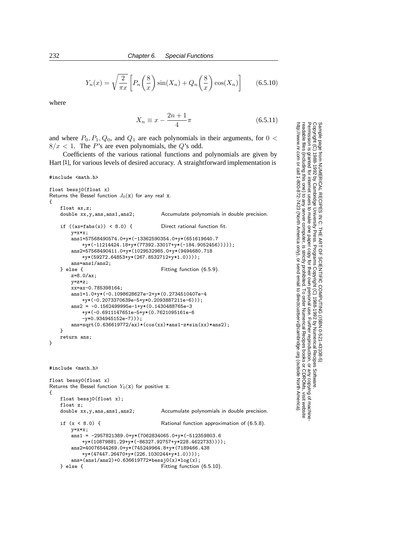$$
Y_n(x) = \sqrt{\frac{2}{\pi x}} \left[ P_n\left(\frac{8}{x}\right) \sin(X_n) + Q_n\left(\frac{8}{x}\right) \cos(X_n) \right]
$$
 (6.5.10)

where

$$
X_n \equiv x - \frac{2n+1}{4}\pi\tag{6.5.11}
$$

Permission is granted for internet users to make one paper copy for their own personal use. Further reproduction, or any copyin

computer, is strictly prohibited. To order Numerical Recipes books

or send email to directcustserv@cambridge.org (outside North America).

Sample page from NUMERICAL RECIPES IN C: THE ART OF SCIENTIFIC COMPUTING (ISBN 0-521-43108-5)

Programs Copyright (C) 1988-1992 by Numerical Recipes Software.

g of machine-

or CDROMs, visit website

Copyright (C) 1988-1992 by Cambridge University Press.

readable files (including this one) to any server

http://www.nr.com or call 1-800-872-7423 (North America only),

and where  $P_0$ ,  $P_1$ ,  $Q_0$ , and  $Q_1$  are each polynomials in their arguments, for  $0 <$  $8/x < 1$ . The P's are even polynomials, the Q's odd.

Coefficients of the various rational functions and polynomials are given by Hart [1], for various levels of desired accuracy. A straightforward implementation is

#include <math.h>

```
float bessj0(float x)
Returns the Bessel function J_0(x) for any real x.
{
    float ax,z;
   double xx,y,ans,ans1,ans2; Accumulate polynomials in double precision.
    if ((ax=fabs(x)) < 8.0) { Direct rational function fit.
        y=x*x;
        ans1=57568490574.0+y*(-13362590354.0+y*(651619640.7
           +y*(-11214424.18+y*(77392.33017+y*(-184.9052456)))));
        ans2=57568490411.0+y*(1029532985.0+y*(9494680.718
            +y*(59272.64853+y*(267.8532712+y*1.0))));
   ans=ans1/ans2;<br>} else {
                                         Fitting function (6.5.9).
       z=8.0/ax;
       y=z*z;
       xx=ax-0.785398164;
        ans1=1.0+y*(-0.1098628627e-2+y*(0.2734510407e-4
            +y*(-0.2073370639e-5+y*0.2093887211e-6)));
        ans2 = -0.1562499995e-1+y*(0.1430488765e-3)+y*(-0.6911147651e-5+y*(0.7621095161e-6
            -y*0.934945152e-7)));
        ans=sqrt(0.636619772/ax)*(cos(xx)*ans1-z*sin(xx)*ans2);
   }
    return ans;
}
#include <math.h>
float bessy0(float x)
Returns the Bessel function Y_0(x) for positive x.
{
   float bessj0(float x);
   float z;<br>double xx,y,ans,ans1,ans2;
                                         Accumulate polynomials in double precision.
   if (x < 8.0) { Rational function approximation of (6.5.8).
        y=x*x;
        ans1 = -2957821389.0+y*(7062834065.0+y*(-512359803.6+y*(10879881.29+y*(-86327.92757+y*228.4622733))));
        ans2=40076544269.0+y*(745249964.8+y*(7189466.438
           +y*(47447.26470+y*(226.1030244+y*1.0))));
   ans=(ans1/ans2)+0.636619772*bessj0(x)*log(x);<br>} else {<br>Fitting function
                                         Fitting function (6.5.10).
```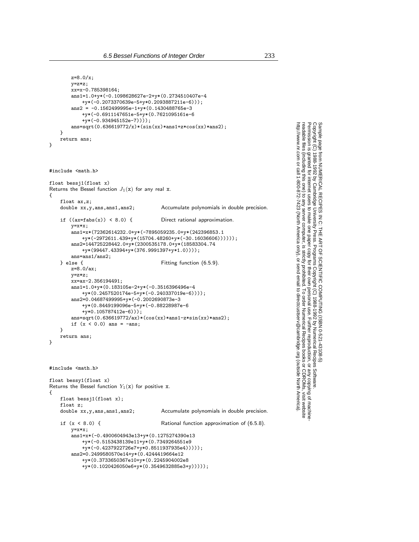```
z=8.0/x;
       y=z*z;
       xx=x-0.785398164;ans1=1.0+y*(-0.1098628627e-2+y*(0.2734510407e-4
           +y*(-0.2073370639e-5+y*0.2093887211e-6)));
        ans2 = -0.1562499995e-1+y*(0.1430488765e-3)+y*(-0.6911147651e-5+y*(0.7621095161e-6
           +y*(-0.934945152e-7))));
       ans=sqrt(0.636619772/x)*(sin(xx)*ans1+z*cos(xx)*ans2);}
   return ans;
}
#include <math.h>
float bessj1(float x)
Returns the Bessel function J_1(x) for any real x.
{
    float ax,z;
   double xx,y,ans,ans1,ans2; Accumulate polynomials in double precision.
   if ((ax = fabs(x)) < 8.0) { Direct rational approximation.
       y=x*x;
       ans1=x*(72362614232.0+y*(-7895059235.0+y*(242396853.1
           +y*(-2972611.439+y*(15704.48260+y*(-30.16036606))))));
       ans2=144725228442.0+y*(2300535178.0+y*(18583304.74
           +y*(99447.43394+y*(376.9991397+y*1.0))));
   ans=ans1/ans2;<br>} else {
                                        Fitting function (6.5.9).
       z=8.0/ax;
       y=z*z;
       xx=ax-2.356194491;
       ans1=1.0+y*(0.183105e-2+y*(-0.3516396496e-4
           +y*(0.2457520174e-5+y*(-0.240337019e-6))));
        ans2=0.04687499995+y*(-0.2002690873e-3
           +y*(0.8449199096e-5+y*(-0.88228987e-6
           +y*0.105787412e-6)));
       ans=sqrt(0.636619772/ax)*(cos(xx)*ans1-z*sin(xx)*ans2);if (x < 0.0) ans = -ans;
   }
   return ans;
}
#include <math.h>
float bessy1(float x)
Returns the Bessel function Y_1(x) for positive x.
{
   float bessj1(float x);
   float z;<br>double xx,y,ans,ans1,ans2;
                                        Accumulate polynomials in double precision.
   if (x < 8.0) { Rational function approximation of (6.5.8).
       y=x*x;
       ans1=x*(-0.4900604943e13+y*(0.1275274390e13
           +y*(-0.5153438139e11+y*(0.7349264551e9
           +y*(-0.4237922726e7+y*0.8511937935e4)))));
       ans2=0.2499580570e14+y*(0.4244419664e12
```
+y\*(0.3733650367e10+y\*(0.2245904002e8 +y\*(0.1020426050e6+y\*(0.3549632885e3+y))))); Permission is granted for internet users to make one paper copy for their own personal use. Further reproduction, or any copyin

computer, is strictly prohibited. To order Numerical Recipes books

or send email to directcustserv@cambridge.org (outside North America).

Sample page from NUMERICAL RECIPES IN C: THE ART OF SCIENTIFIC COMPUTING (ISBN 0-521-43108-5)

Programs Copyright (C) 1988-1992 by Numerical Recipes Software.

g of machine-

or CDROMs, visit website

Copyright (C) 1988-1992 by Cambridge University Press.

readable files (including this one) to any server

http://www.nr.com or call 1-800-872-7423 (North America only),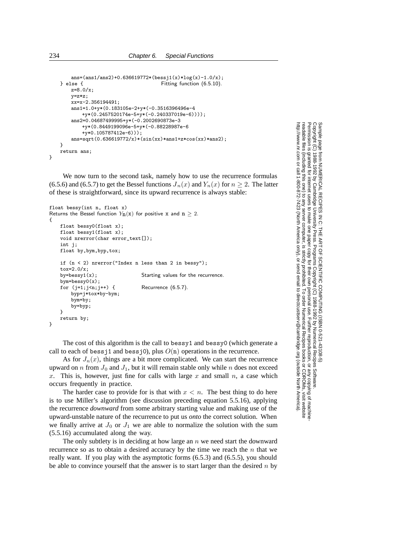```
ans=(ans1/ans2)+0.636619772*(bessj1(x)*log(x)-1.0/x);} else { Fitting function (6.5.10).
   z=8.0/x;
   y=z*z;
   xx=x-2.356194491;ans1=1.0+y*(0.183105e-2+y*(-0.3516396496e-4
       +y*(0.2457520174e-5+y*(-0.240337019e-6))));
   ans2=0.04687499995+y*(-0.2002690873e-3
       +y*(0.8449199096e-5+y*(-0.88228987e-6
       +y*0.105787412e-6)));
   ans=sqrt(0.636619772/x)*(sin(xx)*ans1+z*cos(xx)*ans2);
}
return ans;
```
We now turn to the second task, namely how to use the recurrence formulas (6.5.6) and (6.5.7) to get the Bessel functions  $J_n(x)$  and  $Y_n(x)$  for  $n \ge 2$ . The latter of these is straightforward, since its upward recurrence is always stable:

```
float bessy(int n, float x)
Returns the Bessel function Y<sub>n</sub>(x) for positive x and n \ge 2.
{
   float bessy0(float x);
   float bessy1(float x);
    void nrerror(char error_text[]);
   int j;
   float by,bym,byp,tox;
    if (n < 2) nrerror("Index n less than 2 in bessy");
   tox=2.0/x;
   by=bessy1(x); Starting values for the recurrence.
    bym=bessy0(x);
   for (j=1;j\leq n;j++) { Recurrence (6.5.7).
       byp=j*tox*by-bym;
        bym=by;
        by=byp;
   }
    return by;
}
```
The cost of this algorithm is the call to bessy1 and bessy0 (which generate a call to each of bessj1 and bessj0), plus  $O(n)$  operations in the recurrence.

As for  $J_n(x)$ , things are a bit more complicated. We can start the recurrence upward on n from  $J_0$  and  $J_1$ , but it will remain stable only while n does not exceed x. This is, however, just fine for calls with large  $x$  and small  $n$ , a case which occurs frequently in practice.

The harder case to provide for is that with  $x < n$ . The best thing to do here is to use Miller's algorithm (see discussion preceding equation 5.5.16), applying the recurrence *downward* from some arbitrary starting value and making use of the upward-unstable nature of the recurrence to put us *onto* the correct solution. When we finally arrive at  $J_0$  or  $J_1$  we are able to normalize the solution with the sum (5.5.16) accumulated along the way.

The only subtlety is in deciding at how large an  $n$  we need start the downward recurrence so as to obtain a desired accuracy by the time we reach the  $n$  that we really want. If you play with the asymptotic forms (6.5.3) and (6.5.5), you should be able to convince yourself that the answer is to start larger than the desired  $n$  by

Permission is granted for internet users to make one paper copy for their own personal use. Further reproduction, or any copyin Copyright (C) 1988-1992 by Cambridge University Press.Programs Copyright (C) 1988-1992 by Numerical Recipes Software. Sample page from NUMERICAL RECIPES IN C: THE ART OF SCIENTIFIC COMPUTING (ISBN 0-521-43108-5) g of machinereadable files (including this one) to any servercomputer, is strictly prohibited. To order Numerical Recipes booksor CDROMs, visit website http://www.nr.com or call 1-800-872-7423 (North America only),or send email to directcustserv@cambridge.org (outside North America).

}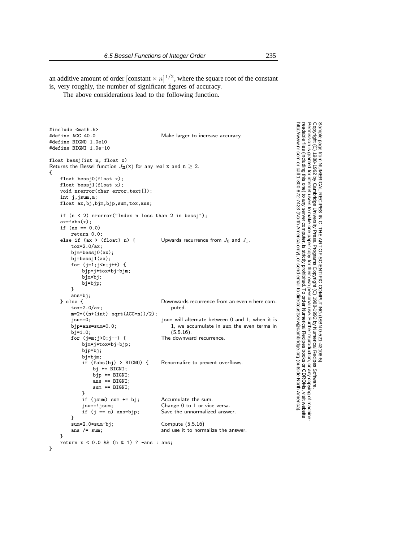an additive amount of order [constant  $\times n$ ]<sup>1/2</sup>, where the square root of the constant is, very roughly, the number of significant figures of accuracy.

The above considerations lead to the following function.

```
#include <math.h><br>#define ACC 40.0
                                            Make larger to increase accuracy.
#define BIGNO 1.0e10
#define BIGNI 1.0e-10
float bessj(int n, float x)
Returns the Bessel function J_{n}(x) for any real x and n \geq 2.
{
    float bessj0(float x);
    float bessj1(float x);
    void nrerror(char error_text[]);
    int j,jsum,m;
    float ax,bj,bjm,bjp,sum,tox,ans;
    if (n < 2) nrerror("Index n less than 2 in bessj");
    ax = fabs(x);if (ax == 0.0)return 0.0;<br>else if (ax > (float) n) {
                                            Upwards recurrence from J_0 and J_1.
        tox=2.0/ax;
        bjm=bessj0(ax);
        bj=bessj1(ax);
        for (j=1;j<n;j++) {
            bjp=j*tox*bj-bjm;
            bjm=bj;
            bj=bjp;
        }
    ans=bj;<br>} else {
                                            Downwards recurrence from an even m here com-<br>puted.
        \texttt{tox=2.0/ax};m=2*(n+(int) \sqrt{2} + C)<br>jsum=0;
                                            jsum will alternate between 0 and 1; when it is
                                                1, we accumulate in sum the even terms in
                                                (5.5.16).bjp=ans=sum=0.0;
        bj=1.0;<br>for (j=m; j>0; j--) {
                                            The downward recurrence.
            bjm=j*tox*bj-bjp;
            bjp=bj;
            bj=bjm;<br>if (fabs(bj) > BIGNO) {
                                            Renormalize to prevent overflows.
                 bj *= BIGNI;
                 bjp == BIGNI;ans *= BIGNI;
                 sum *= BIGNI;}
            if (jsum) sum += bj; Accumulate the sum.
             jsum=!jsum; Change 0 to 1 or vice versa.
                                            Save the unnormalized answer.
        }<br>sum=2.0*sum-bj;
        sum=2.0*sum-bj; Compute (5.5.16)<br>ans /= sum; and use it to norm
                                            and use it to normalize the answer.
    }
    return x < 0.0 & (n & 1) ? -ans : ans;
```
Permission is granted for internet users to make one paper copy for their own personal use. Further reproduction, or any copyin Copyright (C) 1988-1992 by Cambridge University Press.Programs Copyright (C) 1988-1992 by Numerical Recipes Software. Sample page from NUMERICAL RECIPES IN C: THE ART OF SCIENTIFIC COMPUTING (ISBN 0-521-43108-5) g of machinereadable files (including this one) to any servercomputer, is strictly prohibited. To order Numerical Recipes booksor CDROMs, visit website http://www.nr.com or call 1-800-872-7423 (North America only),or send email to directcustserv@cambridge.org (outside North America).

}